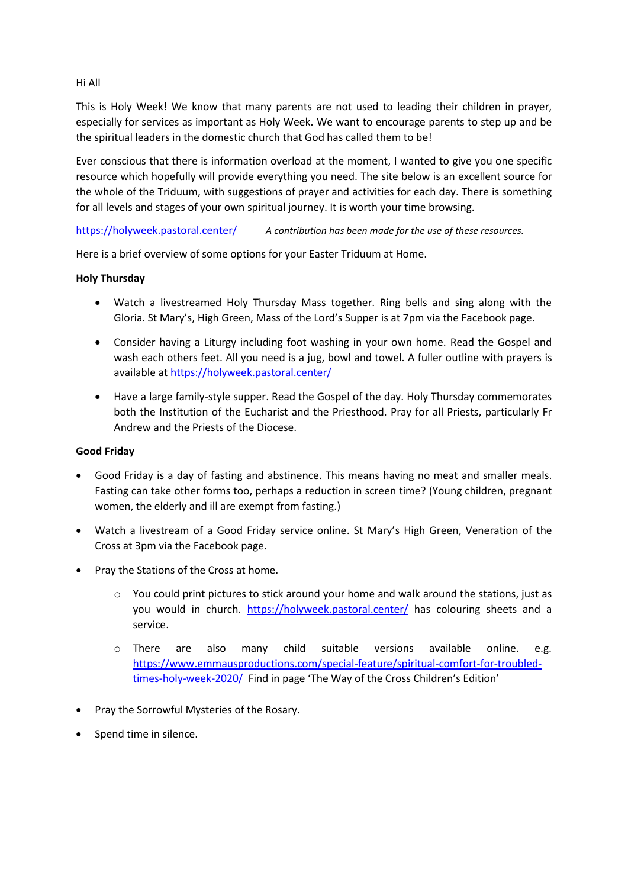Hi All

This is Holy Week! We know that many parents are not used to leading their children in prayer, especially for services as important as Holy Week. We want to encourage parents to step up and be the spiritual leaders in the domestic church that God has called them to be!

Ever conscious that there is information overload at the moment, I wanted to give you one specific resource which hopefully will provide everything you need. The site below is an excellent source for the whole of the Triduum, with suggestions of prayer and activities for each day. There is something for all levels and stages of your own spiritual journey. It is worth your time browsing.

<https://holyweek.pastoral.center/> *A contribution has been made for the use of these resources.*

Here is a brief overview of some options for your Easter Triduum at Home.

## **Holy Thursday**

- Watch a livestreamed Holy Thursday Mass together. Ring bells and sing along with the Gloria. St Mary's, High Green, Mass of the Lord's Supper is at 7pm via the Facebook page.
- Consider having a Liturgy including foot washing in your own home. Read the Gospel and wash each others feet. All you need is a jug, bowl and towel. A fuller outline with prayers is available a[t https://holyweek.pastoral.center/](https://holyweek.pastoral.center/)
- Have a large family-style supper. Read the Gospel of the day. Holy Thursday commemorates both the Institution of the Eucharist and the Priesthood. Pray for all Priests, particularly Fr Andrew and the Priests of the Diocese.

## **Good Friday**

- Good Friday is a day of fasting and abstinence. This means having no meat and smaller meals. Fasting can take other forms too, perhaps a reduction in screen time? (Young children, pregnant women, the elderly and ill are exempt from fasting.)
- Watch a livestream of a Good Friday service online. St Mary's High Green, Veneration of the Cross at 3pm via the Facebook page.
- Pray the Stations of the Cross at home.
	- $\circ$  You could print pictures to stick around your home and walk around the stations, just as you would in church. <https://holyweek.pastoral.center/> has colouring sheets and a service.
	- o There are also many child suitable versions available online. e.g. [https://www.emmausproductions.com/special-feature/spiritual-comfort-for-troubled](https://www.emmausproductions.com/special-feature/spiritual-comfort-for-troubled-times-holy-week-2020/)[times-holy-week-2020/](https://www.emmausproductions.com/special-feature/spiritual-comfort-for-troubled-times-holy-week-2020/) Find in page 'The Way of the Cross Children's Edition'
- Pray the Sorrowful Mysteries of the Rosary.
- Spend time in silence.